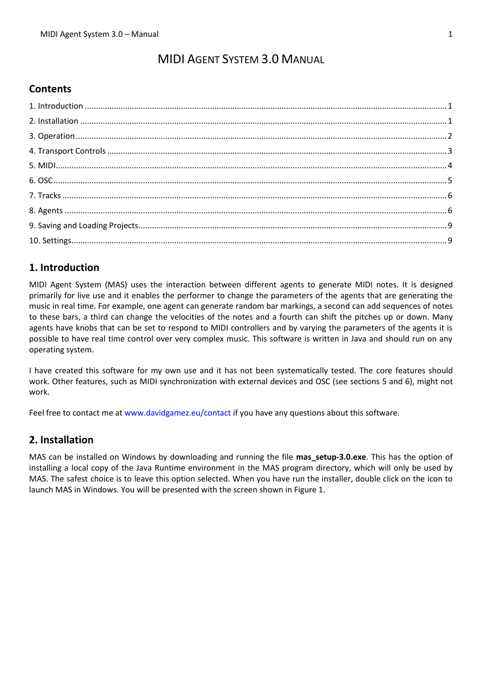# MIDI AGENT SYSTEM 3.0 MANUAL

# **Contents**

# <span id="page-0-0"></span>**1. Introduction**

MIDI Agent System (MAS) uses the interaction between different agents to generate MIDI notes. It is designed primarily for live use and it enables the performer to change the parameters of the agents that are generating the music in real time. For example, one agent can generate random bar markings, a second can add sequences of notes to these bars, a third can change the velocities of the notes and a fourth can shift the pitches up or down. Many agents have knobs that can be set to respond to MIDI controllers and by varying the parameters of the agents it is possible to have real time control over very complex music. This software is written in Java and should run on any operating system.

I have created this software for my own use and it has not been systematically tested. The core features should work. Other features, such as MIDI synchronization with external devices and OSC (see sections 5 and 6), might not work.

Feel free to contact me at [www.davidgamez.eu/contact](http://www.davidgamez.eu/contact) if you have any questions about this software.

# <span id="page-0-1"></span>**2. Installation**

MAS can be installed on Windows by downloading and running the file mas setup-3.0.exe. This has the option of installing a local copy of the Java Runtime environment in the MAS program directory, which will only be used by MAS. The safest choice is to leave this option selected. When you have run the installer, double click on the icon to launch MAS in Windows. You will be presented with the screen shown in Figure 1.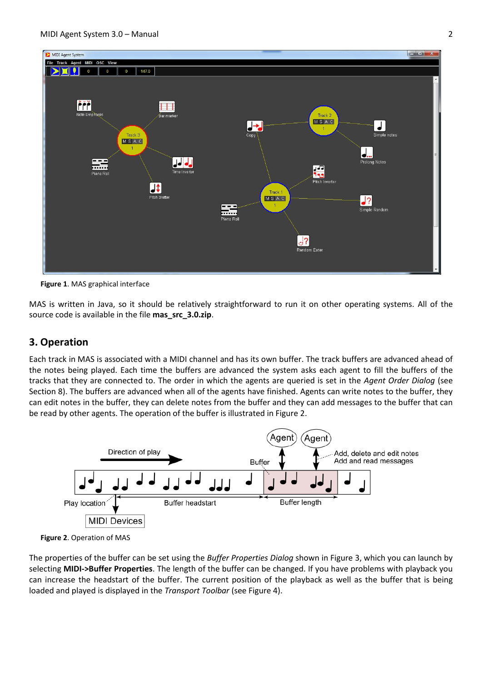

**Figure 1**. MAS graphical interface

MAS is written in Java, so it should be relatively straightforward to run it on other operating systems. All of the source code is available in the file **mas\_src\_3.0.zip**.

# <span id="page-1-0"></span>**3. Operation**

Each track in MAS is associated with a MIDI channel and has its own buffer. The track buffers are advanced ahead of the notes being played. Each time the buffers are advanced the system asks each agent to fill the buffers of the tracks that they are connected to. The order in which the agents are queried is set in the *Agent Order Dialog* (see Section 8). The buffers are advanced when all of the agents have finished. Agents can write notes to the buffer, they can edit notes in the buffer, they can delete notes from the buffer and they can add messages to the buffer that can be read by other agents. The operation of the buffer is illustrated in Figure 2.





The properties of the buffer can be set using the *Buffer Properties Dialog* shown in Figure 3, which you can launch by selecting **MIDI->Buffer Properties**. The length of the buffer can be changed. If you have problems with playback you can increase the headstart of the buffer. The current position of the playback as well as the buffer that is being loaded and played is displayed in the *Transport Toolbar* (see Figure 4).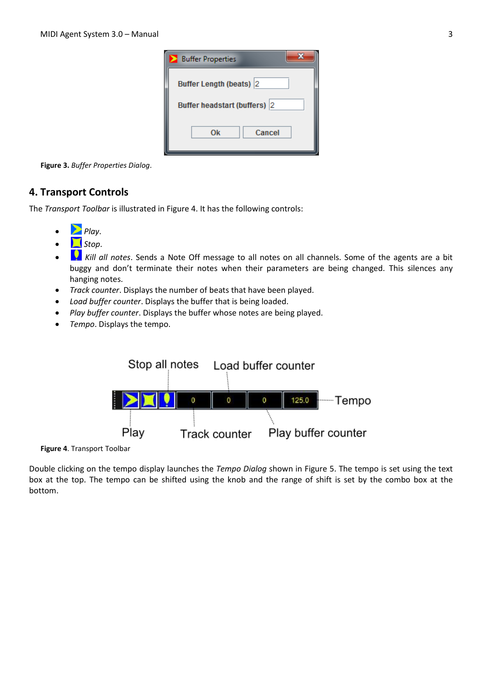| <b>Buffer Properties</b>     |  |
|------------------------------|--|
| Buffer Length (beats) 2      |  |
| Buffer headstart (buffers) 2 |  |
| Cancel<br>Ok                 |  |

**Figure 3.** *Buffer Properties Dialog*.

# <span id="page-2-0"></span>**4. Transport Controls**

The *Transport Toolbar* is illustrated in Figure 4. It has the following controls:

- *Play*.
- *Stop*.
- Kill all notes. Sends a Note Off message to all notes on all channels. Some of the agents are a bit buggy and don't terminate their notes when their parameters are being changed. This silences any hanging notes.
- *Track counter*. Displays the number of beats that have been played.
- *Load buffer counter*. Displays the buffer that is being loaded.
- *Play buffer counter*. Displays the buffer whose notes are being played.
- *Tempo*. Displays the tempo.



**Figure 4**. Transport Toolbar

Double clicking on the tempo display launches the *Tempo Dialog* shown in Figure 5. The tempo is set using the text box at the top. The tempo can be shifted using the knob and the range of shift is set by the combo box at the bottom.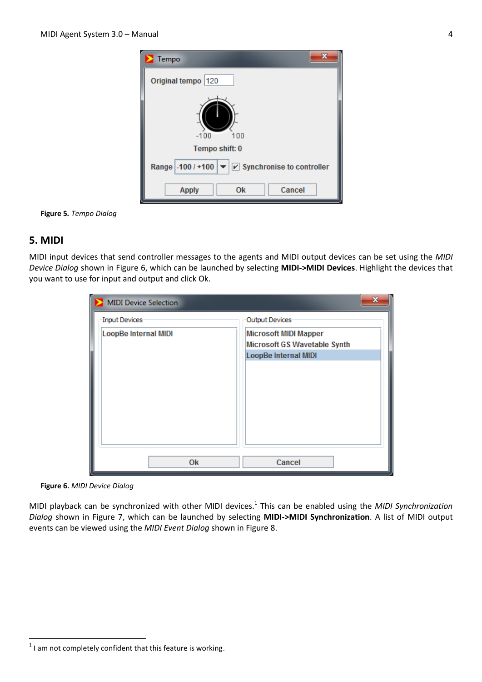

**Figure 5***. Tempo Dialog*

# <span id="page-3-0"></span>**5. MIDI**

MIDI input devices that send controller messages to the agents and MIDI output devices can be set using the *MIDI Device Dialog* shown in Figure 6, which can be launched by selecting **MIDI->MIDI Devices**. Highlight the devices that you want to use for input and output and click Ok.

| <b>MIDI Device Selection</b> | X                            |
|------------------------------|------------------------------|
| Input Devices                | Output Devices               |
| <b>LoopBe Internal MIDI</b>  | <b>Microsoft MIDI Mapper</b> |
|                              | Microsoft GS Wavetable Synth |
|                              | LoopBe Internal MIDI         |
|                              |                              |
|                              |                              |
|                              |                              |
|                              |                              |
|                              |                              |
|                              |                              |
|                              |                              |
|                              |                              |
| <b>Ok</b>                    | Cancel                       |

**Figure 6.** *MIDI Device Dialog*

MIDI playback can be synchronized with other MIDI devices.<sup>1</sup> This can be enabled using the *MIDI Synchronization Dialog* shown in Figure 7, which can be launched by selecting **MIDI->MIDI Synchronization**. A list of MIDI output events can be viewed using the *MIDI Event Dialog* shown in Figure 8.

**<sup>.</sup>**  $<sup>1</sup>$  I am not completely confident that this feature is working.</sup>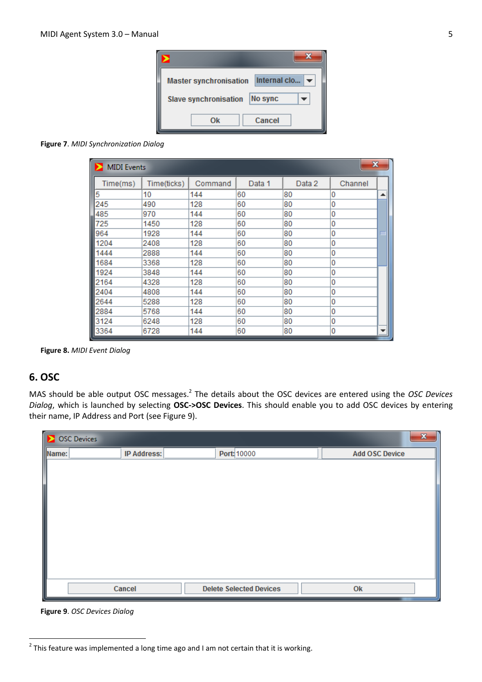

#### **Figure 7**. *MIDI Synchronization Dialog*

| $\mathbf{x}$<br><b>MIDI</b> Events |             |         |        |        |         |                  |
|------------------------------------|-------------|---------|--------|--------|---------|------------------|
| Time(ms)                           | Time(ticks) | Command | Data 1 | Data 2 | Channel |                  |
| 5                                  | 10          | 144     | 60     | 80     | 0       | $\blacktriangle$ |
| 245                                | 490         | 128     | 60     | 80     | 0       |                  |
| 485                                | 970         | 144     | 60     | 80     | 0       |                  |
| 725                                | 1450        | 128     | 60     | 80     | 0       |                  |
| 964                                | 1928        | 144     | 60     | 80     | 0       | ᄐ                |
| 1204                               | 2408        | 128     | 60     | 80     | 0       |                  |
| 1444                               | 2888        | 144     | 60     | 80     | 0       |                  |
| 1684                               | 3368        | 128     | 60     | 80     | 0       |                  |
| 1924                               | 3848        | 144     | 60     | 80     | 0       |                  |
| 2164                               | 4328        | 128     | 60     | 80     | 0       |                  |
| 2404                               | 4808        | 144     | 60     | 80     | 0       |                  |
| 2644                               | 5288        | 128     | 60     | 80     | 0       |                  |
| 2884                               | 5768        | 144     | 60     | 80     | 0       |                  |
| 3124                               | 6248        | 128     | 60     | 80     | 0       |                  |
| 3364                               | 6728        | 144     | 60     | 80     | 0       | ▼                |

**Figure 8.** *MIDI Event Dialog*

# <span id="page-4-0"></span>**6. OSC**

MAS should be able output OSC messages.<sup>2</sup> The details about the OSC devices are entered using the *OSC Devices Dialog*, which is launched by selecting **OSC->OSC Devices**. This should enable you to add OSC devices by entering their name, IP Address and Port (see Figure 9).

|       | S OSC Devices      |                                | $\mathbf{x}$          |
|-------|--------------------|--------------------------------|-----------------------|
| Name: | <b>IP Address:</b> | Port: 10000                    | <b>Add OSC Device</b> |
|       |                    |                                |                       |
|       |                    |                                |                       |
|       |                    |                                |                       |
|       |                    |                                |                       |
|       |                    |                                |                       |
|       |                    |                                |                       |
|       |                    |                                |                       |
|       |                    |                                |                       |
|       |                    |                                |                       |
|       | Cancel             | <b>Delete Selected Devices</b> | Ok                    |
|       |                    |                                |                       |

**Figure 9**. *OSC Devices Dialog*

**.** 

 $2$  This feature was implemented a long time ago and I am not certain that it is working.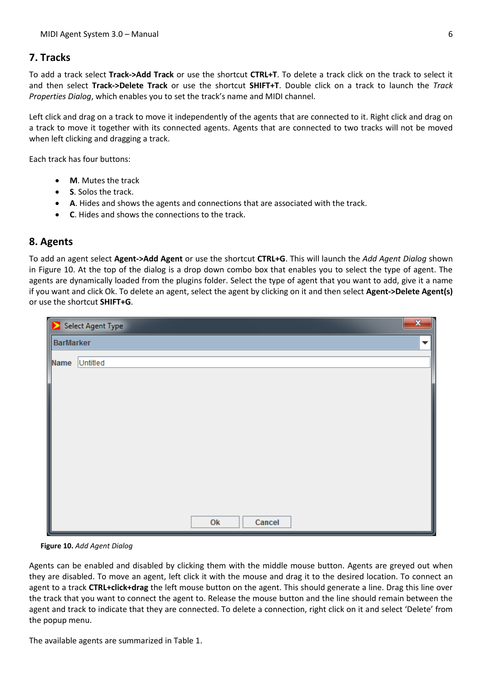# <span id="page-5-0"></span>**7. Tracks**

To add a track select **Track->Add Track** or use the shortcut **CTRL+T**. To delete a track click on the track to select it and then select **Track->Delete Track** or use the shortcut **SHIFT+T**. Double click on a track to launch the *Track Properties Dialog*, which enables you to set the track's name and MIDI channel.

Left click and drag on a track to move it independently of the agents that are connected to it. Right click and drag on a track to move it together with its connected agents. Agents that are connected to two tracks will not be moved when left clicking and dragging a track.

Each track has four buttons:

- **M**. Mutes the track
- **S**. Solos the track.
- **A**. Hides and shows the agents and connections that are associated with the track.
- **C**. Hides and shows the connections to the track.

# <span id="page-5-1"></span>**8. Agents**

To add an agent select **Agent->Add Agent** or use the shortcut **CTRL+G**. This will launch the *Add Agent Dialog* shown in Figure 10. At the top of the dialog is a drop down combo box that enables you to select the type of agent. The agents are dynamically loaded from the plugins folder. Select the type of agent that you want to add, give it a name if you want and click Ok. To delete an agent, select the agent by clicking on it and then select **Agent->Delete Agent(s)** or use the shortcut **SHIFT+G**.

| $\mathbf{x}$<br>Select Agent Type |                          |  |  |  |
|-----------------------------------|--------------------------|--|--|--|
| <b>BarMarker</b>                  | $\overline{\phantom{a}}$ |  |  |  |
| Name                              | Untitled                 |  |  |  |
|                                   |                          |  |  |  |
|                                   |                          |  |  |  |
|                                   |                          |  |  |  |
|                                   |                          |  |  |  |
|                                   |                          |  |  |  |
|                                   |                          |  |  |  |
|                                   |                          |  |  |  |
|                                   |                          |  |  |  |
|                                   | Cancel<br>O <sub>k</sub> |  |  |  |

**Figure 10.** *Add Agent Dialog*

Agents can be enabled and disabled by clicking them with the middle mouse button. Agents are greyed out when they are disabled. To move an agent, left click it with the mouse and drag it to the desired location. To connect an agent to a track **CTRL+click+drag** the left mouse button on the agent. This should generate a line. Drag this line over the track that you want to connect the agent to. Release the mouse button and the line should remain between the agent and track to indicate that they are connected. To delete a connection, right click on it and select 'Delete' from the popup menu.

The available agents are summarized in Table 1.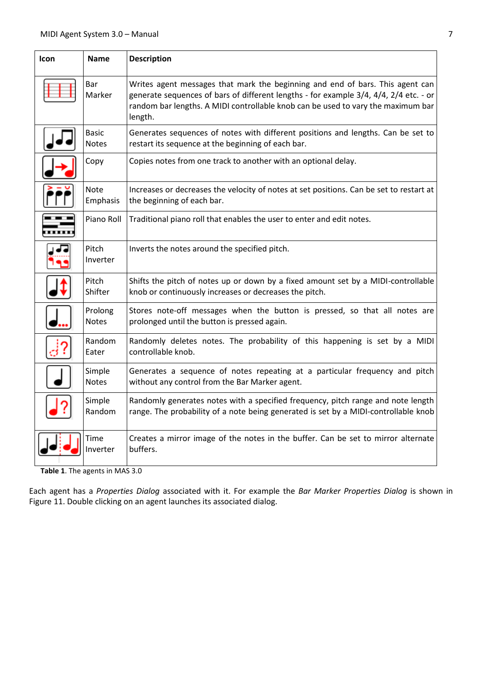| <b>Icon</b> | <b>Name</b>                  | <b>Description</b>                                                                                                                                                                                                                                                    |
|-------------|------------------------------|-----------------------------------------------------------------------------------------------------------------------------------------------------------------------------------------------------------------------------------------------------------------------|
|             | Bar<br>Marker                | Writes agent messages that mark the beginning and end of bars. This agent can<br>generate sequences of bars of different lengths - for example 3/4, 4/4, 2/4 etc. - or<br>random bar lengths. A MIDI controllable knob can be used to vary the maximum bar<br>length. |
|             | <b>Basic</b><br><b>Notes</b> | Generates sequences of notes with different positions and lengths. Can be set to<br>restart its sequence at the beginning of each bar.                                                                                                                                |
|             | Copy                         | Copies notes from one track to another with an optional delay.                                                                                                                                                                                                        |
|             | <b>Note</b><br>Emphasis      | Increases or decreases the velocity of notes at set positions. Can be set to restart at<br>the beginning of each bar.                                                                                                                                                 |
|             | Piano Roll                   | Traditional piano roll that enables the user to enter and edit notes.                                                                                                                                                                                                 |
|             | Pitch<br>Inverter            | Inverts the notes around the specified pitch.                                                                                                                                                                                                                         |
|             | Pitch<br>Shifter             | Shifts the pitch of notes up or down by a fixed amount set by a MIDI-controllable<br>knob or continuously increases or decreases the pitch.                                                                                                                           |
|             | Prolong<br><b>Notes</b>      | Stores note-off messages when the button is pressed, so that all notes are<br>prolonged until the button is pressed again.                                                                                                                                            |
|             | Random<br>Eater              | Randomly deletes notes. The probability of this happening is set by a MIDI<br>controllable knob.                                                                                                                                                                      |
|             | Simple<br><b>Notes</b>       | Generates a sequence of notes repeating at a particular frequency and pitch<br>without any control from the Bar Marker agent.                                                                                                                                         |
|             | Simple<br>Random             | Randomly generates notes with a specified frequency, pitch range and note length<br>range. The probability of a note being generated is set by a MIDI-controllable knob                                                                                               |
|             | Time<br>Inverter             | Creates a mirror image of the notes in the buffer. Can be set to mirror alternate<br>buffers.                                                                                                                                                                         |

**Table 1**. The agents in MAS 3.0

Each agent has a *Properties Dialog* associated with it. For example the *Bar Marker Properties Dialog* is shown in Figure 11. Double clicking on an agent launches its associated dialog.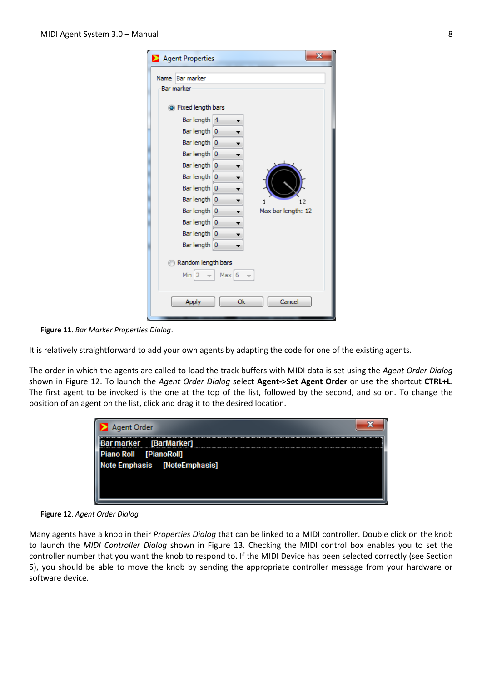| $\mathbf{x}$<br>Agent Properties                                                                                                                                                                                                                                                                                                             |
|----------------------------------------------------------------------------------------------------------------------------------------------------------------------------------------------------------------------------------------------------------------------------------------------------------------------------------------------|
| <b>Bar marker</b><br><b>Name</b><br><b>Bar marker</b><br>So Fixed length bars<br>Bar length 4<br>Bar length 0<br>Bar length 0<br>▼<br>Bar length 0<br>۰<br>Bar length 0<br>٠<br>Bar length 0<br>Bar length 0<br>Bar length 0<br>12<br>1<br>Bar length 0<br>Max bar length: 12<br>▼<br>Bar length 0<br>▼<br>Bar length 0<br>▼<br>Bar length 0 |
| Random length bars<br>$Min$ 2<br>Max $6$                                                                                                                                                                                                                                                                                                     |
| Ok<br>Cancel<br>Apply                                                                                                                                                                                                                                                                                                                        |

**Figure 11**. *Bar Marker Properties Dialog*.

It is relatively straightforward to add your own agents by adapting the code for one of the existing agents.

The order in which the agents are called to load the track buffers with MIDI data is set using the *Agent Order Dialog* shown in Figure 12. To launch the *Agent Order Dialog* select **Agent->Set Agent Order** or use the shortcut **CTRL+L**. The first agent to be invoked is the one at the top of the list, followed by the second, and so on. To change the position of an agent on the list, click and drag it to the desired location.



**Figure 12**. *Agent Order Dialog*

Many agents have a knob in their *Properties Dialog* that can be linked to a MIDI controller. Double click on the knob to launch the *MIDI Controller Dialog* shown in Figure 13. Checking the MIDI control box enables you to set the controller number that you want the knob to respond to. If the MIDI Device has been selected correctly (see Section 5), you should be able to move the knob by sending the appropriate controller message from your hardware or software device.